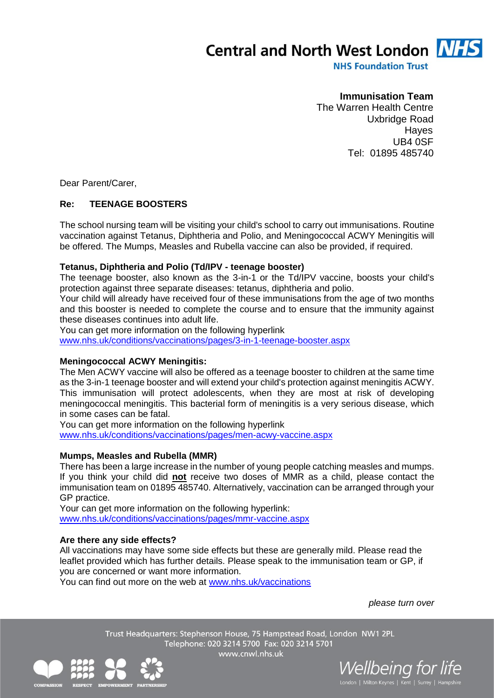**Central and North West London NH** 

**NHS Foundation Trust** 

# **Immunisation Team**

The Warren Health Centre Uxbridge Road Hayes UB4 0SF Tel: 01895 485740

Dear Parent/Carer,

### **Re: TEENAGE BOOSTERS**

The school nursing team will be visiting your child's school to carry out immunisations. Routine vaccination against Tetanus, Diphtheria and Polio, and Meningococcal ACWY Meningitis will be offered. The Mumps, Measles and Rubella vaccine can also be provided, if required.

#### **Tetanus, Diphtheria and Polio (Td/IPV - teenage booster)**

The teenage booster, also known as the 3-in-1 or the Td/IPV vaccine, boosts your child's protection against three separate diseases: tetanus, diphtheria and polio.

Your child will already have received four of these immunisations from the age of two months and this booster is needed to complete the course and to ensure that the immunity against these diseases continues into adult life.

You can get more information on the following hyperlink

[www.nhs.uk/conditions/vaccinations/pages/3-in-1-teenage-booster.aspx](http://www.nhs.uk/conditions/vaccinations/pages/3-in-1-teenage-booster.aspx)

#### **Meningococcal ACWY Meningitis:**

The Men ACWY vaccine will also be offered as a teenage booster to children at the same time as the 3-in-1 teenage booster and will extend your child's protection against meningitis ACWY. This immunisation will protect adolescents, when they are most at risk of developing meningococcal meningitis. This bacterial form of meningitis is a very serious disease, which in some cases can be fatal.

You can get more information on the following hyperlink [www.nhs.uk/conditions/vaccinations/pages/men-acwy-vaccine.aspx](http://www.nhs.uk/conditions/vaccinations/pages/men-acwy-vaccine.aspx)

#### **Mumps, Measles and Rubella (MMR)**

There has been a large increase in the number of young people catching measles and mumps. If you think your child did **not** receive two doses of MMR as a child, please contact the immunisation team on 01895 485740. Alternatively, vaccination can be arranged through your GP practice.

Your can get more information on the following hyperlink: [www.nhs.uk/conditions/vaccinations/pages/mmr-vaccine.aspx](http://www.nhs.uk/conditions/vaccinations/pages/mmr-vaccine.aspx) 

#### **Are there any side effects?**

All vaccinations may have some side effects but these are generally mild. Please read the leaflet provided which has further details. Please speak to the immunisation team or GP, if you are concerned or want more information.

You can find out more on the web at [www.nhs.uk/vaccinations](http://www.nhs.uk/vaccinations)

*please turn over*

Trust Headquarters: Stephenson House, 75 Hampstead Road, London NW1 2PL Telephone: 020 3214 5700 Fax: 020 3214 5701 www.cnwl.nhs.uk



*Vellbeing for life*